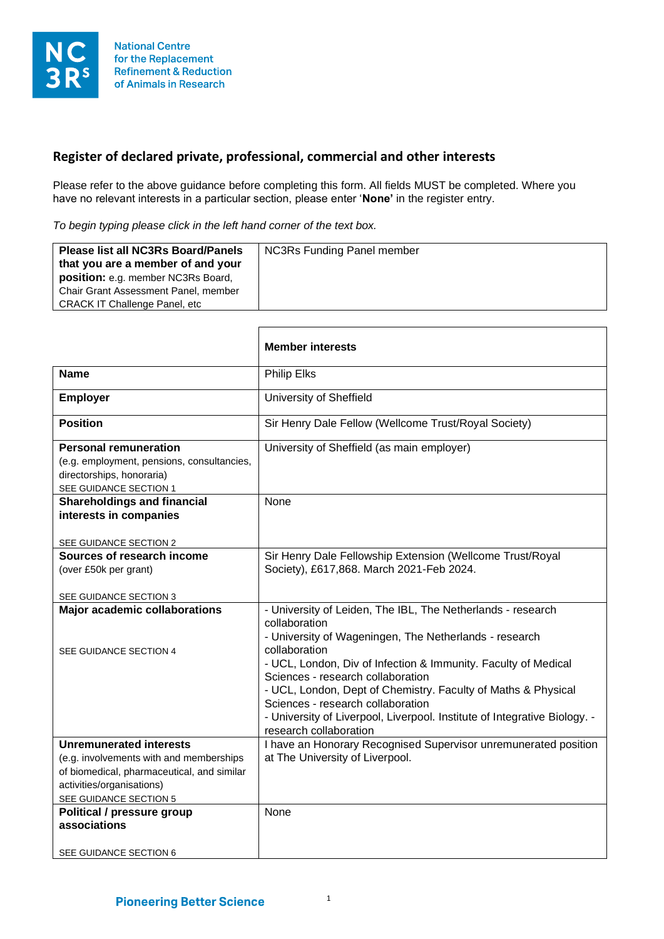

## **Register of declared private, professional, commercial and other interests**

Г

Please refer to the above guidance before completing this form. All fields MUST be completed. Where you have no relevant interests in a particular section, please enter '**None'** in the register entry.

*To begin typing please click in the left hand corner of the text box.*

| <b>NC3Rs Funding Panel member</b><br><b>Please list all NC3Rs Board/Panels</b><br>that you are a member of and your<br>position: e.g. member NC3Rs Board,<br>Chair Grant Assessment Panel, member<br><b>CRACK IT Challenge Panel, etc</b> |
|-------------------------------------------------------------------------------------------------------------------------------------------------------------------------------------------------------------------------------------------|
|-------------------------------------------------------------------------------------------------------------------------------------------------------------------------------------------------------------------------------------------|

┑

|                                                                                                                                                                                                                              | <b>Member interests</b>                                                                                                                                                                                                                                                                                                                                                                                                                                                     |
|------------------------------------------------------------------------------------------------------------------------------------------------------------------------------------------------------------------------------|-----------------------------------------------------------------------------------------------------------------------------------------------------------------------------------------------------------------------------------------------------------------------------------------------------------------------------------------------------------------------------------------------------------------------------------------------------------------------------|
| <b>Name</b>                                                                                                                                                                                                                  | Philip Elks                                                                                                                                                                                                                                                                                                                                                                                                                                                                 |
| <b>Employer</b>                                                                                                                                                                                                              | University of Sheffield                                                                                                                                                                                                                                                                                                                                                                                                                                                     |
| <b>Position</b>                                                                                                                                                                                                              | Sir Henry Dale Fellow (Wellcome Trust/Royal Society)                                                                                                                                                                                                                                                                                                                                                                                                                        |
| <b>Personal remuneration</b><br>(e.g. employment, pensions, consultancies,<br>directorships, honoraria)<br>SEE GUIDANCE SECTION 1                                                                                            | University of Sheffield (as main employer)                                                                                                                                                                                                                                                                                                                                                                                                                                  |
| <b>Shareholdings and financial</b><br>interests in companies<br>SEE GUIDANCE SECTION 2                                                                                                                                       | None                                                                                                                                                                                                                                                                                                                                                                                                                                                                        |
| Sources of research income<br>(over £50k per grant)<br>SEE GUIDANCE SECTION 3                                                                                                                                                | Sir Henry Dale Fellowship Extension (Wellcome Trust/Royal<br>Society), £617,868. March 2021-Feb 2024.                                                                                                                                                                                                                                                                                                                                                                       |
| <b>Major academic collaborations</b><br>SEE GUIDANCE SECTION 4                                                                                                                                                               | - University of Leiden, The IBL, The Netherlands - research<br>collaboration<br>- University of Wageningen, The Netherlands - research<br>collaboration<br>- UCL, London, Div of Infection & Immunity. Faculty of Medical<br>Sciences - research collaboration<br>- UCL, London, Dept of Chemistry. Faculty of Maths & Physical<br>Sciences - research collaboration<br>- University of Liverpool, Liverpool. Institute of Integrative Biology. -<br>research collaboration |
| <b>Unremunerated interests</b><br>(e.g. involvements with and memberships<br>of biomedical, pharmaceutical, and similar<br>activities/organisations)<br>SEE GUIDANCE SECTION 5<br>Political / pressure group<br>associations | I have an Honorary Recognised Supervisor unremunerated position<br>at The University of Liverpool.<br>None                                                                                                                                                                                                                                                                                                                                                                  |
| SEE GUIDANCE SECTION 6                                                                                                                                                                                                       |                                                                                                                                                                                                                                                                                                                                                                                                                                                                             |